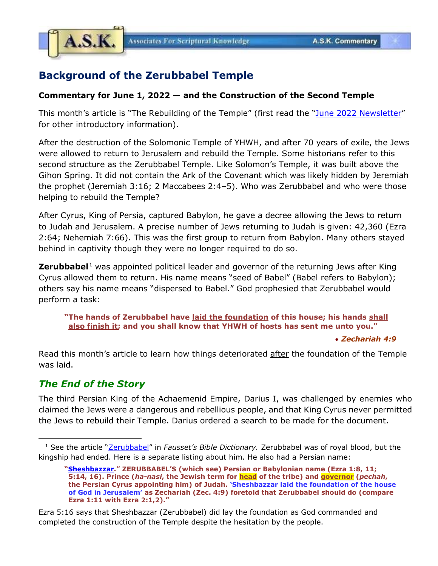

## **Background of the Zerubbabel Temple**

## **Commentary for June 1, 2022 — and the Construction of the Second Temple**

This month's article is "The Rebuilding of the Temple" (first read the "June [2022 Newsletter](https://www.askelm.com/newsletter/l202206.PDF)" for other introductory information).

After the destruction of the Solomonic Temple of YHWH, and after 70 years of exile, the Jews were allowed to return to Jerusalem and rebuild the Temple. Some historians refer to this second structure as the Zerubbabel Temple. Like Solomon's Temple, it was built above the Gihon Spring. It did not contain the Ark of the Covenant which was likely hidden by Jeremiah the prophet (Jeremiah 3:16; 2 Maccabees 2:4–5). Who was Zerubbabel and who were those helping to rebuild the Temple?

After Cyrus, King of Persia, captured Babylon, he gave a decree allowing the Jews to return to Judah and Jerusalem. A precise number of Jews returning to Judah is given: 42,360 (Ezra 2:64; Nehemiah 7:66). This was the first group to return from Babylon. Many others stayed behind in captivity though they were no longer required to do so.

**Zerubbabel**<sup>1</sup> was appointed political leader and governor of the returning Jews after King Cyrus allowed them to return. His name means "seed of Babel" (Babel refers to Babylon); others say his name means "dispersed to Babel." God prophesied that Zerubbabel would perform a task:

**"The hands of Zerubbabel have laid the foundation of this house; his hands shall also finish it; and you shall know that YHWH of hosts has sent me unto you."**

• *Zechariah 4:9*

Read this month's article to learn how things deteriorated after the foundation of the Temple was laid.

## *The End of the Story*

The third Persian King of the Achaemenid Empire, Darius I, was challenged by enemies who claimed the Jews were a dangerous and rebellious people, and that King Cyrus never permitted the Jews to rebuild their Temple. Darius ordered a search to be made for the document.

<sup>1</sup> See the article "[Zerubbabel](https://archive.org/details/biblecyclopediac00faus/page/736/mode/1up?view=theater)" in *Fausset's Bible Dictionary.* Zerubbabel was of royal blood, but the kingship had ended. Here is a separate listing about him. He also had a Persian name:

**<sup>&</sup>quot;[Sheshbazzar](https://archive.org/details/biblecyclopediac00faus/page/644/mode/1up?view=theater)." ZERUBBABEL'S (which see) Persian or Babylonian name (Ezra 1:8, 11; 5:14, 16). Prince (***ha-nasi***, the Jewish term for head of the tribe) and governor (***pechah***, the Persian Cyrus appointing him) of Judah. 'Sheshbazzar laid the foundation of the house of God in Jerusalem' as Zechariah (Zec. 4:9) foretold that Zerubbabel should do (compare Ezra 1:11 with Ezra 2:1,2)."**

Ezra 5:16 says that Sheshbazzar (Zerubbabel) did lay the foundation as God commanded and completed the construction of the Temple despite the hesitation by the people.